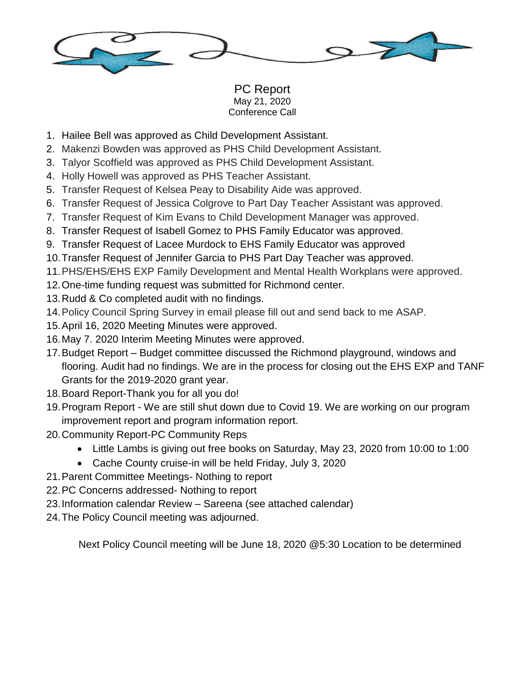

PC Report May 21, 2020 Conference Call

- 1. Hailee Bell was approved as Child Development Assistant.
- 2. Makenzi Bowden was approved as PHS Child Development Assistant.
- 3. Talyor Scoffield was approved as PHS Child Development Assistant.
- 4. Holly Howell was approved as PHS Teacher Assistant.
- 5. Transfer Request of Kelsea Peay to Disability Aide was approved.
- 6. Transfer Request of Jessica Colgrove to Part Day Teacher Assistant was approved.
- 7. Transfer Request of Kim Evans to Child Development Manager was approved.
- 8. Transfer Request of Isabell Gomez to PHS Family Educator was approved.
- 9. Transfer Request of Lacee Murdock to EHS Family Educator was approved
- 10.Transfer Request of Jennifer Garcia to PHS Part Day Teacher was approved.
- 11.PHS/EHS/EHS EXP Family Development and Mental Health Workplans were approved.
- 12.One-time funding request was submitted for Richmond center.
- 13.Rudd & Co completed audit with no findings.
- 14.Policy Council Spring Survey in email please fill out and send back to me ASAP.
- 15.April 16, 2020 Meeting Minutes were approved.
- 16.May 7. 2020 Interim Meeting Minutes were approved.
- 17.Budget Report Budget committee discussed the Richmond playground, windows and flooring. Audit had no findings. We are in the process for closing out the EHS EXP and TANF Grants for the 2019-2020 grant year.
- 18.Board Report-Thank you for all you do!
- 19.Program Report We are still shut down due to Covid 19. We are working on our program improvement report and program information report.
- 20.Community Report-PC Community Reps
	- Little Lambs is giving out free books on Saturday, May 23, 2020 from 10:00 to 1:00
	- Cache County cruise-in will be held Friday, July 3, 2020
- 21.Parent Committee Meetings- Nothing to report
- 22.PC Concerns addressed- Nothing to report
- 23.Information calendar Review Sareena (see attached calendar)
- 24.The Policy Council meeting was adjourned.

Next Policy Council meeting will be June 18, 2020 @5:30 Location to be determined